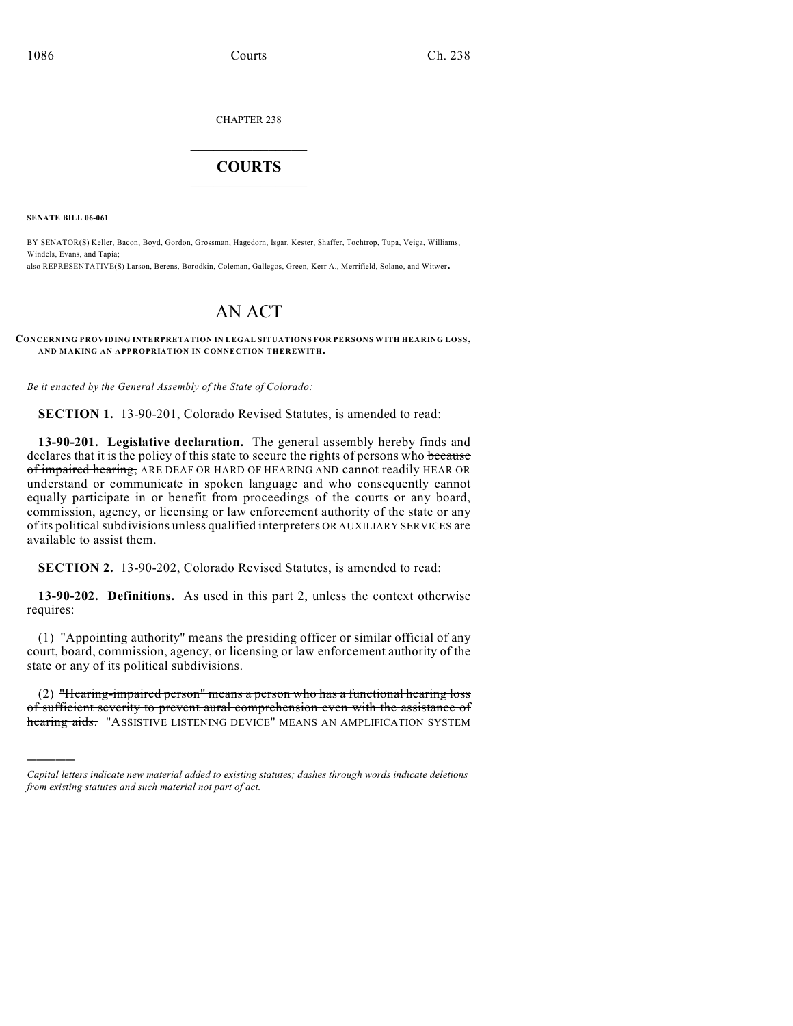CHAPTER 238

# $\mathcal{L}_\text{max}$  . The set of the set of the set of the set of the set of the set of the set of the set of the set of the set of the set of the set of the set of the set of the set of the set of the set of the set of the set **COURTS**  $\_$

**SENATE BILL 06-061**

)))))

BY SENATOR(S) Keller, Bacon, Boyd, Gordon, Grossman, Hagedorn, Isgar, Kester, Shaffer, Tochtrop, Tupa, Veiga, Williams, Windels, Evans, and Tapia;

also REPRESENTATIVE(S) Larson, Berens, Borodkin, Coleman, Gallegos, Green, Kerr A., Merrifield, Solano, and Witwer.

# AN ACT

### **CONCERNING PROVIDING INTERPRETATION IN LEGAL SITUATIONS FOR PERSONS WITH HEARING LOSS, AND MAKING AN APPROPRIATION IN CONNECTION THEREWITH.**

*Be it enacted by the General Assembly of the State of Colorado:*

**SECTION 1.** 13-90-201, Colorado Revised Statutes, is amended to read:

**13-90-201. Legislative declaration.** The general assembly hereby finds and declares that it is the policy of this state to secure the rights of persons who because of impaired hearing, ARE DEAF OR HARD OF HEARING AND cannot readily HEAR OR understand or communicate in spoken language and who consequently cannot equally participate in or benefit from proceedings of the courts or any board, commission, agency, or licensing or law enforcement authority of the state or any of its political subdivisions unless qualified interpreters OR AUXILIARY SERVICES are available to assist them.

**SECTION 2.** 13-90-202, Colorado Revised Statutes, is amended to read:

**13-90-202. Definitions.** As used in this part 2, unless the context otherwise requires:

(1) "Appointing authority" means the presiding officer or similar official of any court, board, commission, agency, or licensing or law enforcement authority of the state or any of its political subdivisions.

(2) "Hearing-impaired person" means a person who has a functional hearing loss of sufficient severity to prevent aural comprehension even with the assistance of hearing aids. "ASSISTIVE LISTENING DEVICE" MEANS AN AMPLIFICATION SYSTEM

*Capital letters indicate new material added to existing statutes; dashes through words indicate deletions from existing statutes and such material not part of act.*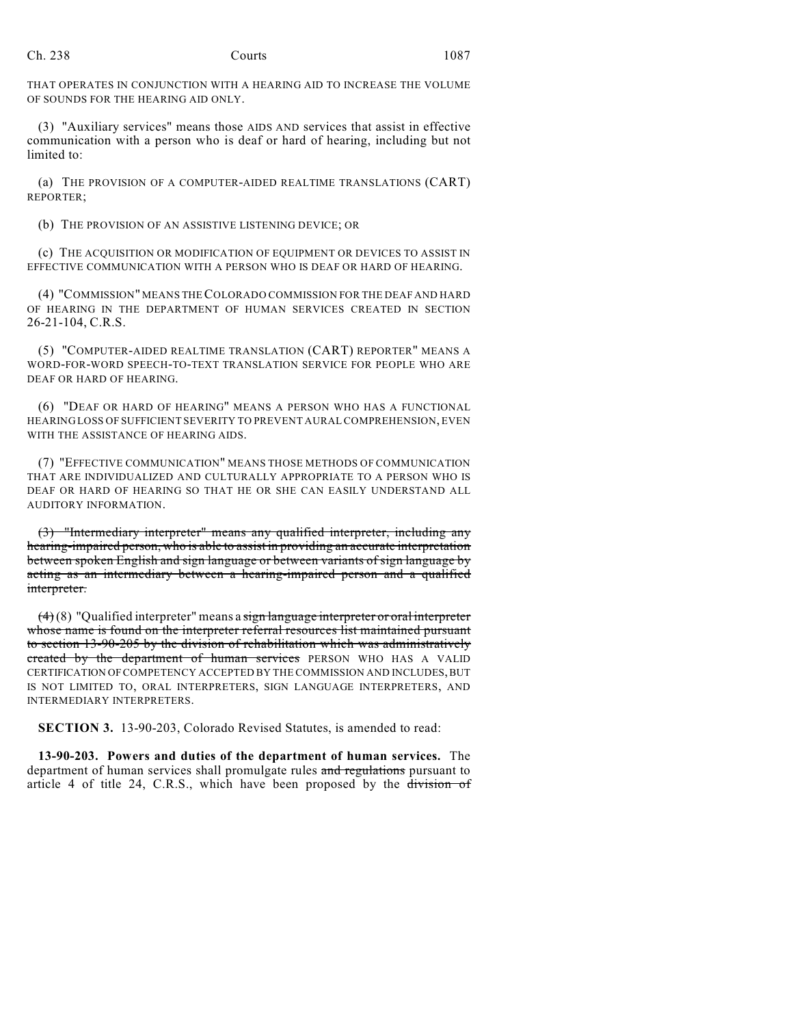THAT OPERATES IN CONJUNCTION WITH A HEARING AID TO INCREASE THE VOLUME OF SOUNDS FOR THE HEARING AID ONLY.

(3) "Auxiliary services" means those AIDS AND services that assist in effective communication with a person who is deaf or hard of hearing, including but not limited to:

(a) THE PROVISION OF A COMPUTER-AIDED REALTIME TRANSLATIONS (CART) REPORTER;

(b) THE PROVISION OF AN ASSISTIVE LISTENING DEVICE; OR

(c) THE ACQUISITION OR MODIFICATION OF EQUIPMENT OR DEVICES TO ASSIST IN EFFECTIVE COMMUNICATION WITH A PERSON WHO IS DEAF OR HARD OF HEARING.

(4) "COMMISSION" MEANS THE COLORADO COMMISSION FOR THE DEAF AND HARD OF HEARING IN THE DEPARTMENT OF HUMAN SERVICES CREATED IN SECTION 26-21-104, C.R.S.

(5) "COMPUTER-AIDED REALTIME TRANSLATION (CART) REPORTER" MEANS A WORD-FOR-WORD SPEECH-TO-TEXT TRANSLATION SERVICE FOR PEOPLE WHO ARE DEAF OR HARD OF HEARING.

(6) "DEAF OR HARD OF HEARING" MEANS A PERSON WHO HAS A FUNCTIONAL HEARING LOSS OF SUFFICIENT SEVERITY TO PREVENT AURAL COMPREHENSION, EVEN WITH THE ASSISTANCE OF HEARING AIDS.

(7) "EFFECTIVE COMMUNICATION" MEANS THOSE METHODS OF COMMUNICATION THAT ARE INDIVIDUALIZED AND CULTURALLY APPROPRIATE TO A PERSON WHO IS DEAF OR HARD OF HEARING SO THAT HE OR SHE CAN EASILY UNDERSTAND ALL AUDITORY INFORMATION.

(3) "Intermediary interpreter" means any qualified interpreter, including any hearing-impaired person, who is able to assist in providing an accurate interpretation between spoken English and sign language or between variants of sign language by acting as an intermediary between a hearing-impaired person and a qualified interpreter.

 $(4)(8)$  "Qualified interpreter" means a sign language interpreter or oral interpreter whose name is found on the interpreter referral resources list maintained pursuant to section 13-90-205 by the division of rehabilitation which was administratively created by the department of human services PERSON WHO HAS A VALID CERTIFICATION OF COMPETENCY ACCEPTED BY THE COMMISSION AND INCLUDES, BUT IS NOT LIMITED TO, ORAL INTERPRETERS, SIGN LANGUAGE INTERPRETERS, AND INTERMEDIARY INTERPRETERS.

**SECTION 3.** 13-90-203, Colorado Revised Statutes, is amended to read:

**13-90-203. Powers and duties of the department of human services.** The department of human services shall promulgate rules and regulations pursuant to article 4 of title 24, C.R.S., which have been proposed by the division of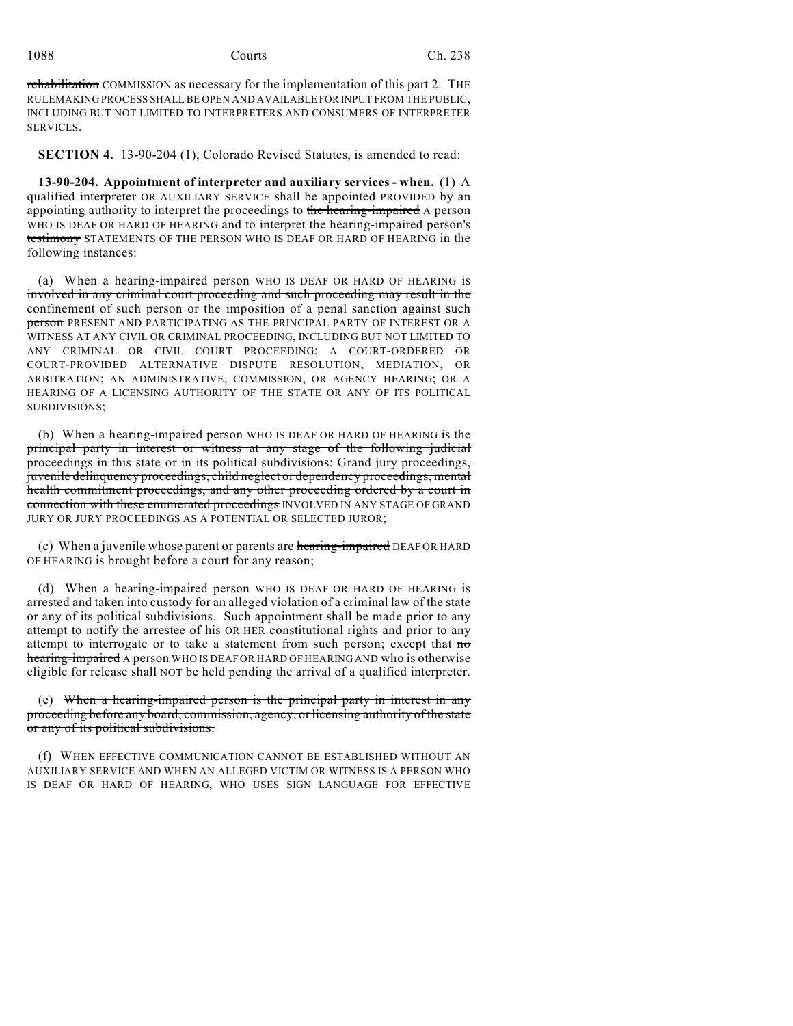rehabilitation COMMISSION as necessary for the implementation of this part 2. THE RULEMAKING PROCESS SHALL BE OPEN AND AVAILABLE FOR INPUT FROM THE PUBLIC, INCLUDING BUT NOT LIMITED TO INTERPRETERS AND CONSUMERS OF INTERPRETER SERVICES.

**SECTION 4.** 13-90-204 (1), Colorado Revised Statutes, is amended to read:

**13-90-204. Appointment of interpreter and auxiliary services - when.** (1) A qualified interpreter OR AUXILIARY SERVICE shall be appointed PROVIDED by an appointing authority to interpret the proceedings to the hearing-impaired A person WHO IS DEAF OR HARD OF HEARING and to interpret the hearing-impaired person's testimony STATEMENTS OF THE PERSON WHO IS DEAF OR HARD OF HEARING in the following instances:

(a) When a hearing-impaired person WHO IS DEAF OR HARD OF HEARING is involved in any criminal court proceeding and such proceeding may result in the confinement of such person or the imposition of a penal sanction against such person PRESENT AND PARTICIPATING AS THE PRINCIPAL PARTY OF INTEREST OR A WITNESS AT ANY CIVIL OR CRIMINAL PROCEEDING, INCLUDING BUT NOT LIMITED TO ANY CRIMINAL OR CIVIL COURT PROCEEDING; A COURT-ORDERED OR COURT-PROVIDED ALTERNATIVE DISPUTE RESOLUTION, MEDIATION, OR ARBITRATION; AN ADMINISTRATIVE, COMMISSION, OR AGENCY HEARING; OR A HEARING OF A LICENSING AUTHORITY OF THE STATE OR ANY OF ITS POLITICAL SUBDIVISIONS;

(b) When a hearing-impaired person WHO IS DEAF OR HARD OF HEARING is the principal party in interest or witness at any stage of the following judicial proceedings in this state or in its political subdivisions: Grand jury proceedings, juvenile delinquency proceedings, child neglect or dependency proceedings, mental health commitment proceedings, and any other proceeding ordered by a court in connection with these enumerated proceedings INVOLVED IN ANY STAGE OF GRAND JURY OR JURY PROCEEDINGS AS A POTENTIAL OR SELECTED JUROR;

(c) When a juvenile whose parent or parents are hearing-impaired DEAF OR HARD OF HEARING is brought before a court for any reason;

(d) When a hearing-impaired person WHO IS DEAF OR HARD OF HEARING is arrested and taken into custody for an alleged violation of a criminal law of the state or any of its political subdivisions. Such appointment shall be made prior to any attempt to notify the arrestee of his OR HER constitutional rights and prior to any attempt to interrogate or to take a statement from such person; except that  $m\sigma$ hearing-impaired A person WHO IS DEAF OR HARD OF HEARING AND who is otherwise eligible for release shall NOT be held pending the arrival of a qualified interpreter.

(e) When a hearing-impaired person is the principal party in interest in any proceeding before any board, commission, agency, or licensing authority of the state or any of its political subdivisions.

(f) WHEN EFFECTIVE COMMUNICATION CANNOT BE ESTABLISHED WITHOUT AN AUXILIARY SERVICE AND WHEN AN ALLEGED VICTIM OR WITNESS IS A PERSON WHO IS DEAF OR HARD OF HEARING, WHO USES SIGN LANGUAGE FOR EFFECTIVE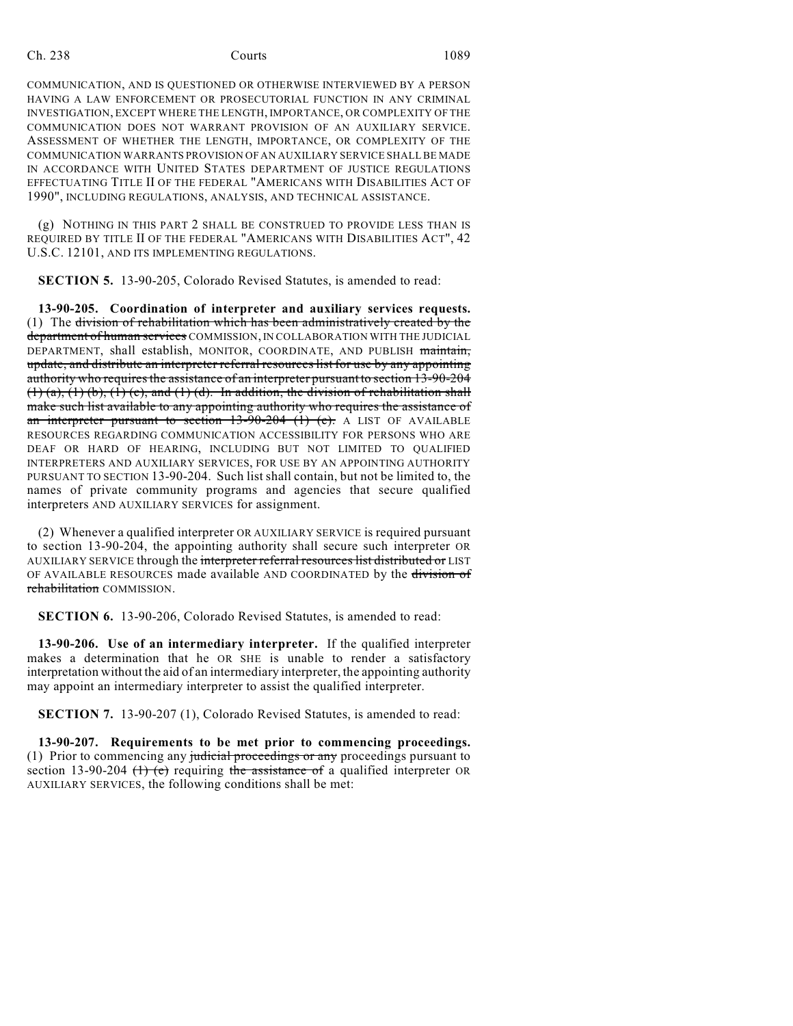COMMUNICATION, AND IS QUESTIONED OR OTHERWISE INTERVIEWED BY A PERSON HAVING A LAW ENFORCEMENT OR PROSECUTORIAL FUNCTION IN ANY CRIMINAL INVESTIGATION, EXCEPT WHERE THE LENGTH, IMPORTANCE, OR COMPLEXITY OF THE COMMUNICATION DOES NOT WARRANT PROVISION OF AN AUXILIARY SERVICE. ASSESSMENT OF WHETHER THE LENGTH, IMPORTANCE, OR COMPLEXITY OF THE COMMUNICATION WARRANTS PROVISION OF AN AUXILIARY SERVICE SHALL BE MADE IN ACCORDANCE WITH UNITED STATES DEPARTMENT OF JUSTICE REGULATIONS EFFECTUATING TITLE II OF THE FEDERAL "AMERICANS WITH DISABILITIES ACT OF 1990", INCLUDING REGULATIONS, ANALYSIS, AND TECHNICAL ASSISTANCE.

(g) NOTHING IN THIS PART 2 SHALL BE CONSTRUED TO PROVIDE LESS THAN IS REQUIRED BY TITLE II OF THE FEDERAL "AMERICANS WITH DISABILITIES ACT", 42 U.S.C. 12101, AND ITS IMPLEMENTING REGULATIONS.

**SECTION 5.** 13-90-205, Colorado Revised Statutes, is amended to read:

**13-90-205. Coordination of interpreter and auxiliary services requests.** (1) The division of rehabilitation which has been administratively created by the department of human services COMMISSION, IN COLLABORATION WITH THE JUDICIAL DEPARTMENT, shall establish, MONITOR, COORDINATE, AND PUBLISH maintain, update, and distribute an interpreter referral resources list for use by any appointing authority who requires the assistance of an interpreter pursuant to section 13-90-204  $(1)$  (a),  $(1)$  (b),  $(1)$  (c), and  $(1)$  (d). In addition, the division of rehabilitation shall make such list available to any appointing authority who requires the assistance of an interpreter pursuant to section  $13-90-204$  (1) (e). A LIST OF AVAILABLE RESOURCES REGARDING COMMUNICATION ACCESSIBILITY FOR PERSONS WHO ARE DEAF OR HARD OF HEARING, INCLUDING BUT NOT LIMITED TO QUALIFIED INTERPRETERS AND AUXILIARY SERVICES, FOR USE BY AN APPOINTING AUTHORITY PURSUANT TO SECTION 13-90-204. Such list shall contain, but not be limited to, the names of private community programs and agencies that secure qualified interpreters AND AUXILIARY SERVICES for assignment.

(2) Whenever a qualified interpreter OR AUXILIARY SERVICE is required pursuant to section 13-90-204, the appointing authority shall secure such interpreter OR AUXILIARY SERVICE through the interpreter referral resources list distributed or LIST OF AVAILABLE RESOURCES made available AND COORDINATED by the division of rehabilitation COMMISSION.

**SECTION 6.** 13-90-206, Colorado Revised Statutes, is amended to read:

**13-90-206. Use of an intermediary interpreter.** If the qualified interpreter makes a determination that he OR SHE is unable to render a satisfactory interpretation without the aid of an intermediary interpreter, the appointing authority may appoint an intermediary interpreter to assist the qualified interpreter.

**SECTION 7.** 13-90-207 (1), Colorado Revised Statutes, is amended to read:

**13-90-207. Requirements to be met prior to commencing proceedings.** (1) Prior to commencing any judicial proceedings or any proceedings pursuant to section 13-90-204 (1) (e) requiring the assistance of a qualified interpreter OR AUXILIARY SERVICES, the following conditions shall be met: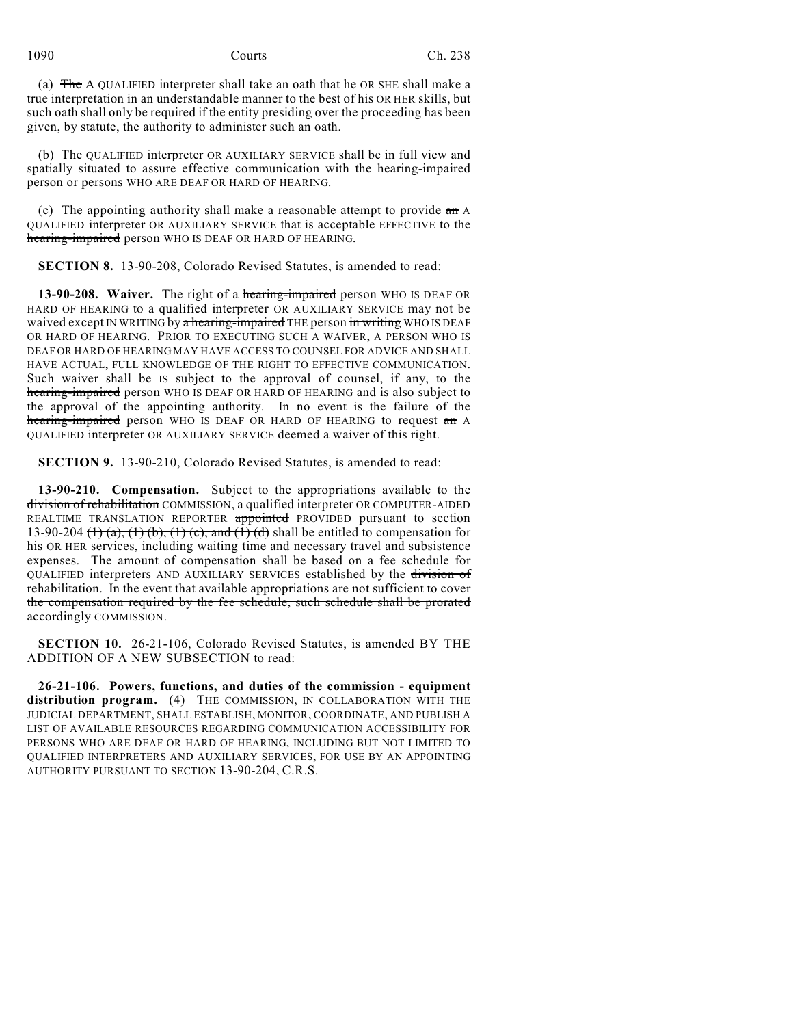(a) The A QUALIFIED interpreter shall take an oath that he OR SHE shall make a true interpretation in an understandable manner to the best of his OR HER skills, but such oath shall only be required if the entity presiding over the proceeding has been given, by statute, the authority to administer such an oath.

(b) The QUALIFIED interpreter OR AUXILIARY SERVICE shall be in full view and spatially situated to assure effective communication with the hearing-impaired person or persons WHO ARE DEAF OR HARD OF HEARING.

(c) The appointing authority shall make a reasonable attempt to provide  $\overline{a}$  and QUALIFIED interpreter OR AUXILIARY SERVICE that is acceptable EFFECTIVE to the hearing-impaired person WHO IS DEAF OR HARD OF HEARING.

**SECTION 8.** 13-90-208, Colorado Revised Statutes, is amended to read:

**13-90-208. Waiver.** The right of a hearing-impaired person WHO IS DEAF OR HARD OF HEARING to a qualified interpreter OR AUXILIARY SERVICE may not be waived except IN WRITING by a hearing-impaired THE person in writing WHO IS DEAF OR HARD OF HEARING. PRIOR TO EXECUTING SUCH A WAIVER, A PERSON WHO IS DEAF OR HARD OF HEARING MAY HAVE ACCESS TO COUNSEL FOR ADVICE AND SHALL HAVE ACTUAL, FULL KNOWLEDGE OF THE RIGHT TO EFFECTIVE COMMUNICATION. Such waiver shall be IS subject to the approval of counsel, if any, to the hearing-impaired person WHO IS DEAF OR HARD OF HEARING and is also subject to the approval of the appointing authority. In no event is the failure of the hearing-impaired person WHO IS DEAF OR HARD OF HEARING to request an A QUALIFIED interpreter OR AUXILIARY SERVICE deemed a waiver of this right.

**SECTION 9.** 13-90-210, Colorado Revised Statutes, is amended to read:

**13-90-210. Compensation.** Subject to the appropriations available to the division of rehabilitation COMMISSION, a qualified interpreter OR COMPUTER-AIDED REALTIME TRANSLATION REPORTER appointed PROVIDED pursuant to section 13-90-204  $(1)$   $(a)$ ,  $(1)$   $(b)$ ,  $(1)$   $(c)$ , and  $(1)$   $(d)$  shall be entitled to compensation for his OR HER services, including waiting time and necessary travel and subsistence expenses. The amount of compensation shall be based on a fee schedule for QUALIFIED interpreters AND AUXILIARY SERVICES established by the division of rehabilitation. In the event that available appropriations are not sufficient to cover the compensation required by the fee schedule, such schedule shall be prorated accordingly COMMISSION.

**SECTION 10.** 26-21-106, Colorado Revised Statutes, is amended BY THE ADDITION OF A NEW SUBSECTION to read:

**26-21-106. Powers, functions, and duties of the commission - equipment distribution program.** (4) THE COMMISSION, IN COLLABORATION WITH THE JUDICIAL DEPARTMENT, SHALL ESTABLISH, MONITOR, COORDINATE, AND PUBLISH A LIST OF AVAILABLE RESOURCES REGARDING COMMUNICATION ACCESSIBILITY FOR PERSONS WHO ARE DEAF OR HARD OF HEARING, INCLUDING BUT NOT LIMITED TO QUALIFIED INTERPRETERS AND AUXILIARY SERVICES, FOR USE BY AN APPOINTING AUTHORITY PURSUANT TO SECTION 13-90-204, C.R.S.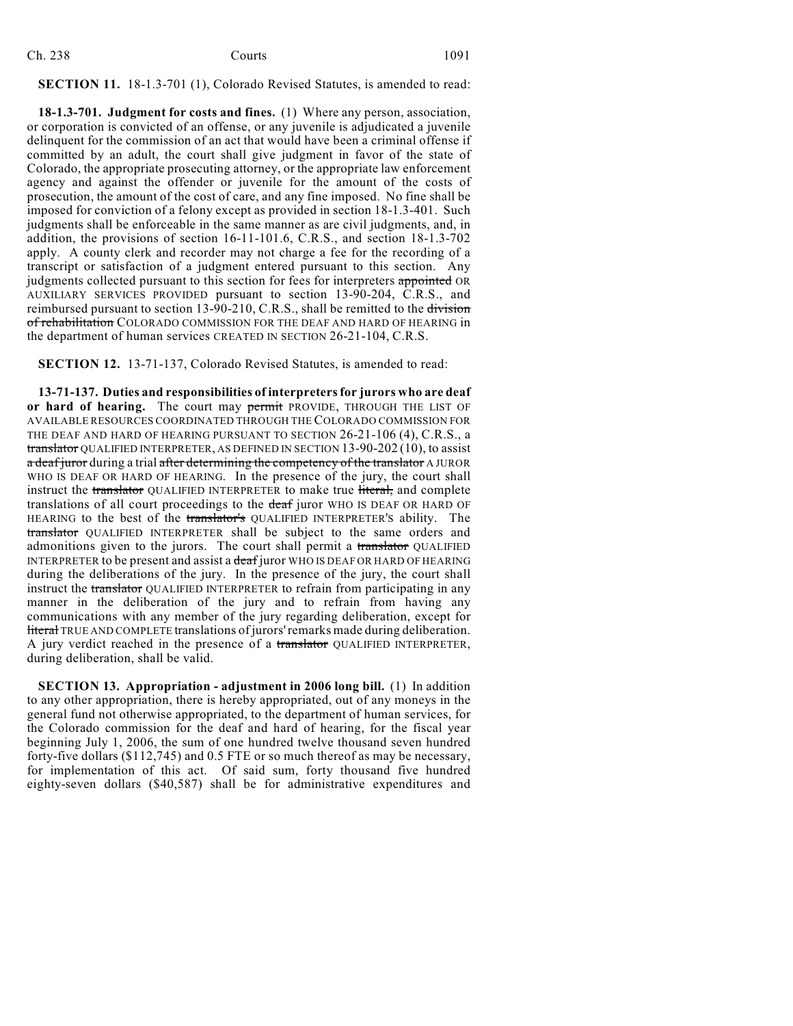| Ch. 238 | Courts | 1091 |
|---------|--------|------|
|         |        |      |

## **SECTION 11.** 18-1.3-701 (1), Colorado Revised Statutes, is amended to read:

**18-1.3-701. Judgment for costs and fines.** (1) Where any person, association, or corporation is convicted of an offense, or any juvenile is adjudicated a juvenile delinquent for the commission of an act that would have been a criminal offense if committed by an adult, the court shall give judgment in favor of the state of Colorado, the appropriate prosecuting attorney, or the appropriate law enforcement agency and against the offender or juvenile for the amount of the costs of prosecution, the amount of the cost of care, and any fine imposed. No fine shall be imposed for conviction of a felony except as provided in section 18-1.3-401. Such judgments shall be enforceable in the same manner as are civil judgments, and, in addition, the provisions of section 16-11-101.6, C.R.S., and section 18-1.3-702 apply. A county clerk and recorder may not charge a fee for the recording of a transcript or satisfaction of a judgment entered pursuant to this section. Any judgments collected pursuant to this section for fees for interpreters appointed OR AUXILIARY SERVICES PROVIDED pursuant to section 13-90-204, C.R.S., and reimbursed pursuant to section 13-90-210, C.R.S., shall be remitted to the division of rehabilitation COLORADO COMMISSION FOR THE DEAF AND HARD OF HEARING in the department of human services CREATED IN SECTION 26-21-104, C.R.S.

**SECTION 12.** 13-71-137, Colorado Revised Statutes, is amended to read:

**13-71-137. Duties and responsibilities of interpreters for jurors who are deaf** or hard of hearing. The court may permit PROVIDE, THROUGH THE LIST OF AVAILABLE RESOURCES COORDINATED THROUGH THE COLORADO COMMISSION FOR THE DEAF AND HARD OF HEARING PURSUANT TO SECTION 26-21-106 (4), C.R.S., a translator QUALIFIED INTERPRETER, AS DEFINED IN SECTION 13-90-202 (10), to assist a deaf juror during a trial after determining the competency of the translator A JUROR WHO IS DEAF OR HARD OF HEARING. In the presence of the jury, the court shall instruct the translator QUALIFIED INTERPRETER to make true literal, and complete translations of all court proceedings to the deaf juror WHO IS DEAF OR HARD OF HEARING to the best of the translator's QUALIFIED INTERPRETER'S ability. The translator QUALIFIED INTERPRETER shall be subject to the same orders and admonitions given to the jurors. The court shall permit a translator QUALIFIED INTERPRETER to be present and assist a deaf juror WHO IS DEAF OR HARD OF HEARING during the deliberations of the jury. In the presence of the jury, the court shall instruct the translator OUALIFIED INTERPRETER to refrain from participating in any manner in the deliberation of the jury and to refrain from having any communications with any member of the jury regarding deliberation, except for literal TRUE AND COMPLETE translations of jurors' remarks made during deliberation. A jury verdict reached in the presence of a translator QUALIFIED INTERPRETER, during deliberation, shall be valid.

**SECTION 13. Appropriation - adjustment in 2006 long bill.** (1) In addition to any other appropriation, there is hereby appropriated, out of any moneys in the general fund not otherwise appropriated, to the department of human services, for the Colorado commission for the deaf and hard of hearing, for the fiscal year beginning July 1, 2006, the sum of one hundred twelve thousand seven hundred forty-five dollars (\$112,745) and 0.5 FTE or so much thereof as may be necessary, for implementation of this act. Of said sum, forty thousand five hundred eighty-seven dollars (\$40,587) shall be for administrative expenditures and